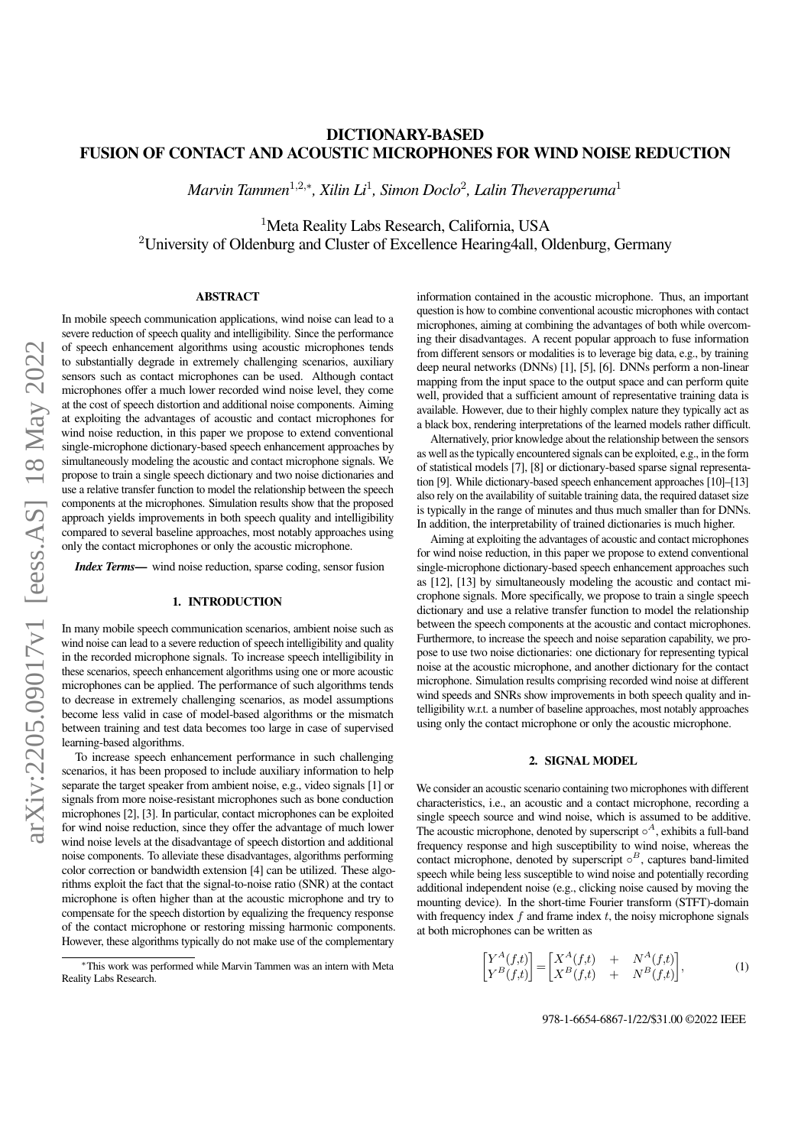## DICTIONARY-BASED FUSION OF CONTACT AND ACOUSTIC MICROPHONES FOR WIND NOISE REDUCTION

 $Marvin$  Tammen<sup>1,2,∗</sup>, Xilin Li<sup>1</sup>, Simon Doclo<sup>2</sup>, Lalin Theverapperuma<sup>1</sup>

<sup>1</sup>Meta Reality Labs Research, California, USA <sup>2</sup>University of Oldenburg and Cluster of Excellence Hearing4all, Oldenburg, Germany

## ABSTRACT

In mobile speech communication applications, wind noise can lead to a severe reduction of speech quality and intelligibility. Since the performance of speech enhancement algorithms using acoustic microphones tends to substantially degrade in extremely challenging scenarios, auxiliary sensors such as contact microphones can be used. Although contact microphones offer a much lower recorded wind noise level, they come at the cost of speech distortion and additional noise components. Aiming at exploiting the advantages of acoustic and contact microphones for wind noise reduction, in this paper we propose to extend conventional single-microphone dictionary-based speech enhancement approaches by simultaneously modeling the acoustic and contact microphone signals. We propose to train a single speech dictionary and two noise dictionaries and use a relative transfer function to model the relationship between the speech components at the microphones. Simulation results show that the proposed approach yields improvements in both speech quality and intelligibility compared to several baseline approaches, most notably approaches using only the contact microphones or only the acoustic microphone.

*Index Terms*— wind noise reduction, sparse coding, sensor fusion

#### 1. INTRODUCTION

In many mobile speech communication scenarios, ambient noise such as wind noise can lead to a severe reduction of speech intelligibility and quality in the recorded microphone signals. To increase speech intelligibility in these scenarios, speech enhancement algorithms using one or more acoustic microphones can be applied. The performance of such algorithms tends to decrease in extremely challenging scenarios, as model assumptions become less valid in case of model-based algorithms or the mismatch between training and test data becomes too large in case of supervised learning-based algorithms.

To increase speech enhancement performance in such challenging scenarios, it has been proposed to include auxiliary information to help separate the target speaker from ambient noise, e.g., video signals [\[1\]](#page-4-0) or signals from more noise-resistant microphones such as bone conduction microphones [\[2\]](#page-4-1), [\[3\]](#page-4-2). In particular, contact microphones can be exploited for wind noise reduction, since they offer the advantage of much lower wind noise levels at the disadvantage of speech distortion and additional noise components. To alleviate these disadvantages, algorithms performing color correction or bandwidth extension [\[4\]](#page-4-3) can be utilized. These algorithms exploit the fact that the signal-to-noise ratio (SNR) at the contact microphone is often higher than at the acoustic microphone and try to compensate for the speech distortion by equalizing the frequency response of the contact microphone or restoring missing harmonic components. However, these algorithms typically do not make use of the complementary information contained in the acoustic microphone. Thus, an important question is how to combine conventional acoustic microphones with contact microphones, aiming at combining the advantages of both while overcoming their disadvantages. A recent popular approach to fuse information from different sensors or modalities is to leverage big data, e.g., by training deep neural networks (DNNs) [\[1\]](#page-4-0), [\[5\]](#page-4-4), [\[6\]](#page-4-5). DNNs perform a non-linear mapping from the input space to the output space and can perform quite well, provided that a sufficient amount of representative training data is available. However, due to their highly complex nature they typically act as a black box, rendering interpretations of the learned models rather difficult.

Alternatively, prior knowledge about the relationship between the sensors as well as the typically encountered signals can be exploited, e.g., in the form of statistical models [\[7\]](#page-4-6), [\[8\]](#page-4-7) or dictionary-based sparse signal representation [\[9\]](#page-4-8). While dictionary-based speech enhancement approaches [\[10\]](#page-4-9)–[\[13\]](#page-4-10) also rely on the availability of suitable training data, the required dataset size is typically in the range of minutes and thus much smaller than for DNNs. In addition, the interpretability of trained dictionaries is much higher.

Aiming at exploiting the advantages of acoustic and contact microphones for wind noise reduction, in this paper we propose to extend conventional single-microphone dictionary-based speech enhancement approaches such as [\[12\]](#page-4-11), [\[13\]](#page-4-10) by simultaneously modeling the acoustic and contact microphone signals. More specifically, we propose to train a single speech dictionary and use a relative transfer function to model the relationship between the speech components at the acoustic and contact microphones. Furthermore, to increase the speech and noise separation capability, we propose to use two noise dictionaries: one dictionary for representing typical noise at the acoustic microphone, and another dictionary for the contact microphone. Simulation results comprising recorded wind noise at different wind speeds and SNRs show improvements in both speech quality and intelligibility w.r.t. a number of baseline approaches, most notably approaches using only the contact microphone or only the acoustic microphone.

### 2. SIGNAL MODEL

We consider an acoustic scenario containing two microphones with different characteristics, i.e., an acoustic and a contact microphone, recording a single speech source and wind noise, which is assumed to be additive. The acoustic microphone, denoted by superscript  $\circ^A$ , exhibits a full-band frequency response and high susceptibility to wind noise, whereas the contact microphone, denoted by superscript  $\circ^B$ , captures band-limited speech while being less susceptible to wind noise and potentially recording additional independent noise (e.g., clicking noise caused by moving the mounting device). In the short-time Fourier transform (STFT)-domain with frequency index  $f$  and frame index  $t$ , the noisy microphone signals at both microphones can be written as

<span id="page-0-0"></span>
$$
\begin{bmatrix} Y^A(f,t) \\ Y^B(f,t) \end{bmatrix} = \begin{bmatrix} X^A(f,t) & + & N^A(f,t) \\ X^B(f,t) & + & N^B(f,t) \end{bmatrix},\tag{1}
$$

<sup>∗</sup>This work was performed while Marvin Tammen was an intern with Meta Reality Labs Research.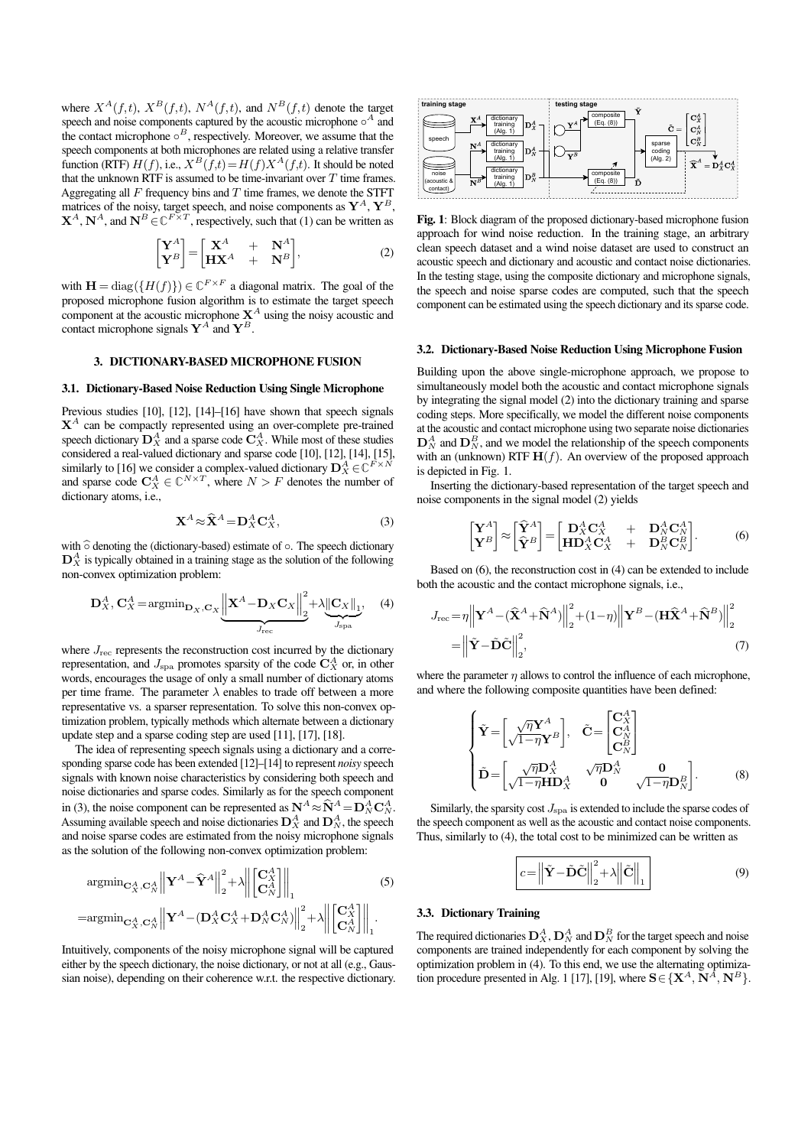where  $X^{A}(f,t)$ ,  $X^{B}(f,t)$ ,  $N^{A}(f,t)$ , and  $N^{B}(f,t)$  denote the target speech and noise components captured by the acoustic microphone  $\circ^A$  and the contact microphone  $\circ^B$ , respectively. Moreover, we assume that the speech components at both microphones are related using a relative transfer function (RTF)  $H(f)$ , i.e.,  $X^B(\overline{f},t) = H(f)X^A(f,t)$ . It should be noted that the unknown RTF is assumed to be time-invariant over  $T$  time frames. Aggregating all  $F$  frequency bins and  $T$  time frames, we denote the STFT matrices of the noisy, target speech, and noise components as  $\mathbf{Y}^{A}$ ,  $\mathbf{Y}^{B}$ ,  $X^A$ ,  $N^A$ , and  $N^B \in \mathbb{C}^{F \times T}$ , respectively, such that [\(1\)](#page-0-0) can be written as

$$
\begin{bmatrix} \mathbf{Y}^{A} \\ \mathbf{Y}^{B} \end{bmatrix} = \begin{bmatrix} \mathbf{X}^{A} & + & \mathbf{N}^{A} \\ \mathbf{H}\mathbf{X}^{A} & + & \mathbf{N}^{B} \end{bmatrix},\tag{2}
$$

with  $\mathbf{H} = \text{diag}(\{H(f)\}) \in \mathbb{C}^{F \times F}$  a diagonal matrix. The goal of the proposed microphone fusion algorithm is to estimate the target speech component at the acoustic microphone  $X^A$  using the noisy acoustic and contact microphone signals  $Y^A$  and  $Y^B$ .

#### 3. DICTIONARY-BASED MICROPHONE FUSION

#### 3.1. Dictionary-Based Noise Reduction Using Single Microphone

Previous studies [\[10\]](#page-4-9), [\[12\]](#page-4-11), [\[14\]](#page-4-12)–[\[16\]](#page-4-13) have shown that speech signals  $X^A$  can be compactly represented using an over-complete pre-trained speech dictionary  $\mathbf{D}_X^A$  and a sparse code  $\mathbf{C}_X^A$ . While most of these studies considered a real-valued dictionary and sparse code [\[10\]](#page-4-9), [\[12\]](#page-4-11), [\[14\]](#page-4-12), [\[15\]](#page-4-14), similarly to [\[16\]](#page-4-13) we consider a complex-valued dictionary  $\mathbf{D}_X^A \in \mathbb{C}^{F \times N}$ and sparse code  $C_X^A \in \mathbb{C}^{N \times T}$ , where  $N > F$  denotes the number of dictionary atoms, i.e.,

$$
\mathbf{X}^A \approx \hat{\mathbf{X}}^A = \mathbf{D}_X^A \mathbf{C}_X^A,\tag{3}
$$

with  $\hat{\circ}$  denoting the (dictionary-based) estimate of  $\circ$ . The speech dictionary  $\mathbf{D}_X^A$  is typically obtained in a training stage as the solution of the following non-convex optimization problem:

$$
\mathbf{D}_{X}^{A}, \mathbf{C}_{X}^{A} = \operatorname{argmin}_{\mathbf{D}_{X}, \mathbf{C}_{X}} \underbrace{\left\| \mathbf{X}^{A} - \mathbf{D}_{X} \mathbf{C}_{X} \right\|_{2}^{2}}_{J_{\text{reco}}} + \lambda \underbrace{\left\| \mathbf{C}_{X} \right\|_{1}}_{J_{\text{spa}}}, \quad (4)
$$

where  $J_{\text{rec}}$  represents the reconstruction cost incurred by the dictionary representation, and  $J_{\rm spa}$  promotes sparsity of the code  $\mathbf{C}_X^A$  or, in other words, encourages the usage of only a small number of dictionary atoms per time frame. The parameter  $\lambda$  enables to trade off between a more representative vs. a sparser representation. To solve this non-convex optimization problem, typically methods which alternate between a dictionary update step and a sparse coding step are used [\[11\]](#page-4-15), [\[17\]](#page-4-16), [\[18\]](#page-4-17).

The idea of representing speech signals using a dictionary and a corresponding sparse code has been extended [\[12\]](#page-4-11)–[\[14\]](#page-4-12) to represent *noisy* speech signals with known noise characteristics by considering both speech and noise dictionaries and sparse codes. Similarly as for the speech component in [\(3\)](#page-1-0), the noise component can be represented as  $N^A \approx \hat{N}^A = D_N^A C_N^A$ . Assuming available speech and noise dictionaries  $\mathbf{D}_X^A$  and  $\mathbf{D}_N^A$ , the speech and noise sparse codes are estimated from the noisy microphone signals as the solution of the following non-convex optimization problem:

$$
\underset{\text{=argmin}_{\mathbf{C}_{X}^{A}, \mathbf{C}_{N}^{A}}}{\operatorname{argmin}_{\mathbf{C}_{X}^{A}, \mathbf{C}_{N}^{A}} \left\| \mathbf{Y}^{A} - \widehat{\mathbf{Y}}^{A} \right\|_{2}^{2}} + \lambda \left\| \begin{bmatrix} \mathbf{C}_{X}^{A} \\ \mathbf{C}_{N}^{A} \end{bmatrix} \right\|_{1}} \tag{5}
$$
\n
$$
= \underset{\mathbf{C}_{X}^{A}, \mathbf{C}_{N}^{A}}{\operatorname{argmin}_{\mathbf{C}_{X}^{A}, \mathbf{C}_{N}^{A}} \left\| \mathbf{Y}^{A} - (\mathbf{D}_{X}^{A} \mathbf{C}_{X}^{A} + \mathbf{D}_{N}^{A} \mathbf{C}_{N}^{A}) \right\|_{2}^{2}} + \lambda \left\| \begin{bmatrix} \mathbf{C}_{X}^{A} \\ \mathbf{C}_{N}^{A} \end{bmatrix} \right\|_{1}^{2}}.
$$

Intuitively, components of the noisy microphone signal will be captured either by the speech dictionary, the noise dictionary, or not at all (e.g., Gaussian noise), depending on their coherence w.r.t. the respective dictionary.

<span id="page-1-2"></span>

<span id="page-1-1"></span>Fig. 1: Block diagram of the proposed dictionary-based microphone fusion approach for wind noise reduction. In the training stage, an arbitrary clean speech dataset and a wind noise dataset are used to construct an acoustic speech and dictionary and acoustic and contact noise dictionaries. In the testing stage, using the composite dictionary and microphone signals, the speech and noise sparse codes are computed, such that the speech component can be estimated using the speech dictionary and its sparse code.

#### 3.2. Dictionary-Based Noise Reduction Using Microphone Fusion

Building upon the above single-microphone approach, we propose to simultaneously model both the acoustic and contact microphone signals by integrating the signal model [\(2\)](#page-1-1) into the dictionary training and sparse coding steps. More specifically, we model the different noise components at the acoustic and contact microphone using two separate noise dictionaries  $\mathbf{D}_N^A$  and  $\mathbf{D}_N^B$ , and we model the relationship of the speech components with an (unknown) RTF  $\mathbf{H}(f)$ . An overview of the proposed approach is depicted in Fig. [1.](#page-1-2)

<span id="page-1-0"></span>Inserting the dictionary-based representation of the target speech and noise components in the signal model [\(2\)](#page-1-1) yields

<span id="page-1-3"></span>
$$
\begin{bmatrix} \mathbf{Y}^A \\ \mathbf{Y}^B \end{bmatrix} \approx \begin{bmatrix} \hat{\mathbf{Y}}^A \\ \hat{\mathbf{Y}}^B \end{bmatrix} = \begin{bmatrix} \mathbf{D}_X^A \mathbf{C}_X^A & + & \mathbf{D}_N^A \mathbf{C}_N^A \\ \mathbf{H} \mathbf{D}_X^A \mathbf{C}_X^A & + & \mathbf{D}_N^B \mathbf{C}_N^B \end{bmatrix} . \tag{6}
$$

<span id="page-1-4"></span>Based on [\(6\)](#page-1-3), the reconstruction cost in [\(4\)](#page-1-4) can be extended to include both the acoustic and the contact microphone signals, i.e.,

$$
J_{\text{rec}} = \eta \left\| \mathbf{Y}^A - (\widehat{\mathbf{X}}^A + \widehat{\mathbf{N}}^A) \right\|_2^2 + (1 - \eta) \left\| \mathbf{Y}^B - (\mathbf{H}\widehat{\mathbf{X}}^A + \widehat{\mathbf{N}}^B) \right\|_2^2
$$
  
= 
$$
\left\| \widetilde{\mathbf{Y}} - \widetilde{\mathbf{D}}\widetilde{\mathbf{C}} \right\|_2^2, \tag{7}
$$

where the parameter  $\eta$  allows to control the influence of each microphone, and where the following composite quantities have been defined:

$$
\begin{cases}\n\tilde{\mathbf{Y}} = \begin{bmatrix}\n\sqrt{\eta} \mathbf{Y}^{A} \\
\sqrt{1-\eta} \mathbf{Y}^{B}\n\end{bmatrix}, & \tilde{\mathbf{C}} = \begin{bmatrix}\n\mathbf{C}_{X}^{A} \\
\mathbf{C}_{N}^{A} \\
\mathbf{C}_{N}^{B}\n\end{bmatrix} \\
\tilde{\mathbf{D}} = \begin{bmatrix}\n\sqrt{\eta} \mathbf{D}_{X}^{A} & \sqrt{\eta} \mathbf{D}_{N}^{A} & \mathbf{0} \\
\sqrt{1-\eta} \mathbf{H} \mathbf{D}_{X}^{A} & \mathbf{0} & \sqrt{1-\eta} \mathbf{D}_{N}^{B}\n\end{bmatrix}.\n\end{cases}
$$
\n(8)

Similarly, the sparsity cost  $J_{\rm spa}$  is extended to include the sparse codes of the speech component as well as the acoustic and contact noise components. Thus, similarly to [\(4\)](#page-1-4), the total cost to be minimized can be written as

<span id="page-1-6"></span><span id="page-1-5"></span>
$$
c = \left\| \tilde{\mathbf{Y}} - \tilde{\mathbf{D}} \tilde{\mathbf{C}} \right\|_{2}^{2} + \lambda \left\| \tilde{\mathbf{C}} \right\|_{1}
$$
\n(9)

#### 3.3. Dictionary Training

The required dictionaries  $\mathbf{D}_X^A$ ,  $\mathbf{D}_N^A$  and  $\mathbf{D}_N^B$  for the target speech and noise components are trained independently for each component by solving the optimization problem in [\(4\)](#page-1-4). To this end, we use the alternating optimiza-tion procedure presented in Alg. [1](#page-2-0) [\[17\]](#page-4-16), [\[19\]](#page-4-18), where  $\mathbf{S} \in \{ \mathbf{X}^A, \mathbf{N}^{\hat{A}}, \mathbf{N}^B \}$ .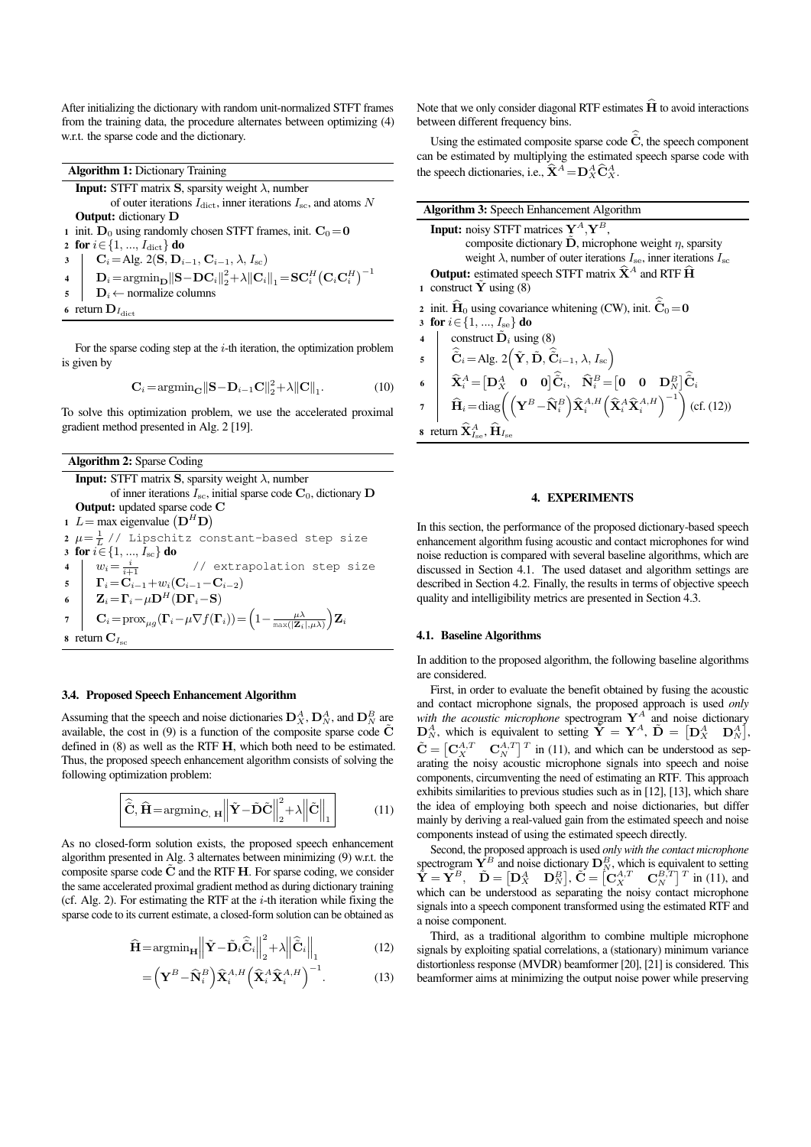After initializing the dictionary with random unit-normalized STFT frames from the training data, the procedure alternates between optimizing [\(4\)](#page-1-4) w.r.t. the sparse code and the dictionary.

|                | <b>Algorithm 1:</b> Dictionary Training                                                                                                                                                                                          |
|----------------|----------------------------------------------------------------------------------------------------------------------------------------------------------------------------------------------------------------------------------|
|                | <b>Input:</b> STFT matrix S, sparsity weight $\lambda$ , number                                                                                                                                                                  |
|                | of outer iterations $I_{\text{dict}}$ , inner iterations $I_{\text{sc}}$ , and atoms N                                                                                                                                           |
|                | <b>Output:</b> dictionary <b>D</b>                                                                                                                                                                                               |
|                | 1 init. $D_0$ using randomly chosen STFT frames, init. $C_0 = 0$                                                                                                                                                                 |
|                | 2 for $i \in \{1, , I_{\text{dict}}\}$ do                                                                                                                                                                                        |
|                | $\mathbf{C}_i\!=\!\mathrm{Alg}.$ 2(S, $\mathbf{D}_{i-1},\mathbf{C}_{i-1},\lambda,I_\mathrm{sc})$<br>$3 \mid$                                                                                                                     |
|                | $\begin{array}{c c} \textbf{4} & \textbf{D}_i = \text{argmin}_{\textbf{D}}   \textbf{S} - \textbf{D}\textbf{C}_i   _2^2 + \lambda   \textbf{C}_i   _1 = \textbf{SC}_i^H \big(\textbf{C}_i \textbf{C}_i^H \big)^{-1} \end{array}$ |
| $\overline{5}$ | $\mathbf{D}_i \leftarrow$ normalize columns                                                                                                                                                                                      |
|                | 6 return $\mathbf{D}_{I_{\text{dict}}}$                                                                                                                                                                                          |

For the sparse coding step at the  $i$ -th iteration, the optimization problem is given by

<span id="page-2-0"></span>
$$
\mathbf{C}_{i} = \operatorname{argmin}_{\mathbf{C}} \|\mathbf{S} - \mathbf{D}_{i-1}\mathbf{C}\|_{2}^{2} + \lambda \|\mathbf{C}\|_{1}.
$$
 (10)

To solve this optimization problem, we use the accelerated proximal gradient method presented in Alg. [2](#page-2-1) [\[19\]](#page-4-18).

| <b>Algorithm 2: Sparse Coding</b>                                                                                                                                                                 |  |
|---------------------------------------------------------------------------------------------------------------------------------------------------------------------------------------------------|--|
| <b>Input:</b> STFT matrix S, sparsity weight $\lambda$ , number                                                                                                                                   |  |
| of inner iterations $I_{\rm sc}$ , initial sparse code $\mathbf{C}_0$ , dictionary $\mathbf{D}$                                                                                                   |  |
| <b>Output:</b> updated sparse code C                                                                                                                                                              |  |
| 1 $L = \max$ eigenvalue $(D^H D)$                                                                                                                                                                 |  |
| 2 $\mu = \frac{1}{l}$ // Lipschitz constant-based step size                                                                                                                                       |  |
| 3 for $i \in \{1, , I_{sc}\}\$ do                                                                                                                                                                 |  |
| 4 $w_i = \frac{i}{i+1}$ // extrapolation step size<br>5 $\Gamma_i = \mathbf{C}_{i-1} + w_i(\mathbf{C}_{i-1} - \mathbf{C}_{i-2})$                                                                  |  |
|                                                                                                                                                                                                   |  |
| 6 $\mathbf{Z}_i = \mathbf{\Gamma}_i - \mu \mathbf{D}^H (\mathbf{D} \mathbf{\Gamma}_i - \mathbf{S})$                                                                                               |  |
| $\mathbf{C}_i = \text{prox}_{\mu g}(\mathbf{\Gamma}_i - \mu \nabla f(\mathbf{\Gamma}_i)) = \left(1 - \frac{\mu \lambda}{\max( \mathbf{Z}_i , \mu \lambda)}\right) \mathbf{Z}_i$<br>$\overline{7}$ |  |
| 8 return $C_{I_{\rm sc}}$                                                                                                                                                                         |  |

## <span id="page-2-1"></span>3.4. Proposed Speech Enhancement Algorithm

Assuming that the speech and noise dictionaries  $\mathbf{D}_X^A$ ,  $\mathbf{D}_N^A$ , and  $\mathbf{D}_N^B$  are available, the cost in  $(9)$  is a function of the composite sparse code  $\mathbf C$ defined in [\(8\)](#page-1-6) as well as the RTF H, which both need to be estimated. Thus, the proposed speech enhancement algorithm consists of solving the following optimization problem:

$$
\hat{\tilde{\mathbf{C}}}, \hat{\mathbf{H}} = \operatorname{argmin}_{\tilde{\mathbf{C}}, \ \mathbf{H}} \left\| \tilde{\mathbf{Y}} - \tilde{\mathbf{D}} \tilde{\mathbf{C}} \right\|_{2}^{2} + \lambda \left\| \tilde{\mathbf{C}} \right\|_{1}
$$
\n(11)

As no closed-form solution exists, the proposed speech enhancement algorithm presented in Alg. [3](#page-2-2) alternates between minimizing [\(9\)](#page-1-5) w.r.t. the composite sparse code  $\tilde{C}$  and the RTF **H**. For sparse coding, we consider the same accelerated proximal gradient method as during dictionary training (cf. Alg. [2\)](#page-2-1). For estimating the RTF at the  $i$ -th iteration while fixing the sparse code to its current estimate, a closed-form solution can be obtained as

$$
\widehat{\mathbf{H}} = \operatorname{argmin}_{\mathbf{H}} \left\| \widetilde{\mathbf{Y}} - \widetilde{\mathbf{D}}_i \widehat{\widetilde{\mathbf{C}}}_i \right\|_2^2 + \lambda \left\| \widehat{\widetilde{\mathbf{C}}}_i \right\|_1 \tag{12}
$$

$$
= \left(\mathbf{Y}^{B} - \widehat{\mathbf{N}}_{i}^{B}\right) \widehat{\mathbf{X}}_{i}^{A,H} \left(\widehat{\mathbf{X}}_{i}^{A} \widehat{\mathbf{X}}_{i}^{A,H}\right)^{-1}.
$$
 (13)

Note that we only consider diagonal RTF estimates  $\widehat{H}$  to avoid interactions between different frequency bins.

Using the estimated composite sparse code  $\tilde{C}$ , the speech component can be estimated by multiplying the estimated speech sparse code with the speech dictionaries, i.e.,  $\hat{\mathbf{X}}^A = \mathbf{D}_X^A \hat{\mathbf{C}}_X^A$ .

| <b>Algorithm 3: Speech Enhancement Algorithm</b>                                                                                                                                                                                                                                                                                                                                                                                                   |
|----------------------------------------------------------------------------------------------------------------------------------------------------------------------------------------------------------------------------------------------------------------------------------------------------------------------------------------------------------------------------------------------------------------------------------------------------|
| <b>Input:</b> noisy STFT matrices $Y^A$ , $Y^B$ ,                                                                                                                                                                                                                                                                                                                                                                                                  |
| composite dictionary $D$ , microphone weight $\eta$ , sparsity<br>weight $\lambda$ , number of outer iterations $I_{\rm se}$ , inner iterations $I_{\rm sc}$                                                                                                                                                                                                                                                                                       |
| <b>Output:</b> estimated speech STFT matrix $\hat{\mathbf{X}}^A$ and RTF $\hat{\mathbf{H}}$                                                                                                                                                                                                                                                                                                                                                        |
| 1 construct Y using $(8)$                                                                                                                                                                                                                                                                                                                                                                                                                          |
| 2 init. $\hat{H}_0$ using covariance whitening (CW), init. $\hat{C}_0 = 0$                                                                                                                                                                                                                                                                                                                                                                         |
| 3 for $i \in \{1, , I_{se}\}\$ do                                                                                                                                                                                                                                                                                                                                                                                                                  |
| construct $\tilde{\mathbf{D}}_i$ using (8)<br>$\overline{\mathbf{4}}$                                                                                                                                                                                                                                                                                                                                                                              |
|                                                                                                                                                                                                                                                                                                                                                                                                                                                    |
|                                                                                                                                                                                                                                                                                                                                                                                                                                                    |
| 5<br>6<br>$\hat{\mathbf{C}}_i = \text{Alg. } 2(\tilde{\mathbf{Y}}, \tilde{\mathbf{D}}, \hat{\tilde{\mathbf{C}}}_{i-1}, \lambda, I_{\text{sc}})$<br>6<br>7<br>$\hat{\mathbf{X}}_i^A = [\mathbf{D}_X^A \quad \mathbf{0} \quad \mathbf{0}] \hat{\tilde{\mathbf{C}}}_i, \quad \hat{\mathbf{N}}_i^B = [\mathbf{0} \quad \mathbf{0} \quad \mathbf{D}_N^B] \hat{\tilde{\mathbf{C}}}_i$<br>7<br>$\hat{\mathbf{H}}_i = \text{diag}\left(\left(\mathbf{Y}^B$ |
| s return $\widehat{\mathbf{X}}_{I_{\text{res}}}^{A}$ , $\widehat{\mathbf{H}}_{I_{\text{sg}}}$                                                                                                                                                                                                                                                                                                                                                      |

## <span id="page-2-2"></span>4. EXPERIMENTS

In this section, the performance of the proposed dictionary-based speech enhancement algorithm fusing acoustic and contact microphones for wind noise reduction is compared with several baseline algorithms, which are discussed in Section [4.1.](#page-2-4) The used dataset and algorithm settings are described in Section [4.2.](#page-3-0) Finally, the results in terms of objective speech quality and intelligibility metrics are presented in Section [4.3.](#page-3-1)

## <span id="page-2-4"></span>4.1. Baseline Algorithms

In addition to the proposed algorithm, the following baseline algorithms are considered.

First, in order to evaluate the benefit obtained by fusing the acoustic and contact microphone signals, the proposed approach is used *only with the acoustic microphone* spectrogram  $Y^A$  and noise dictionary  $\mathbf{D}_N^A$ , which is equivalent to setting  $\tilde{\mathbf{Y}} = \mathbf{Y}^A$ ,  $\tilde{\mathbf{D}} = \begin{bmatrix} \mathbf{D}_X^A & \mathbf{D}_N^A \end{bmatrix}$ ,  $\tilde{\mathbf{C}} = \begin{bmatrix} \mathbf{C}_X^{A,T} & \mathbf{C}_N^{A,T} \end{bmatrix}^T$  in [\(11\)](#page-2-5), and which can be understood as separating the noisy acoustic microphone signals into speech and noise components, circumventing the need of estimating an RTF. This approach exhibits similarities to previous studies such as in [\[12\]](#page-4-11), [\[13\]](#page-4-10), which share the idea of employing both speech and noise dictionaries, but differ mainly by deriving a real-valued gain from the estimated speech and noise components instead of using the estimated speech directly.

<span id="page-2-5"></span>Second, the proposed approach is used *only with the contact microphone* spectrogram  $\mathbf{Y}^B$  and noise dictionary  $\mathbf{D}_N^B$ , which is equivalent to setting  $\mathbf{Y} = \mathbf{Y}^B$ ,  $\mathbf{D} = [\mathbf{D}_X^A \ \mathbf{D}_N^B]$ ,  $\mathbf{C} = [\mathbf{C}_X^{A,T} \ \mathbf{C}_N^{B,T}]^T$  in [\(11\)](#page-2-5), and which can be understood as separating the noisy contact microphone signals into a speech component transformed using the estimated RTF and a noise component.

<span id="page-2-3"></span>Third, as a traditional algorithm to combine multiple microphone signals by exploiting spatial correlations, a (stationary) minimum variance distortionless response (MVDR) beamformer [\[20\]](#page-4-19), [\[21\]](#page-4-20) is considered. This beamformer aims at minimizing the output noise power while preserving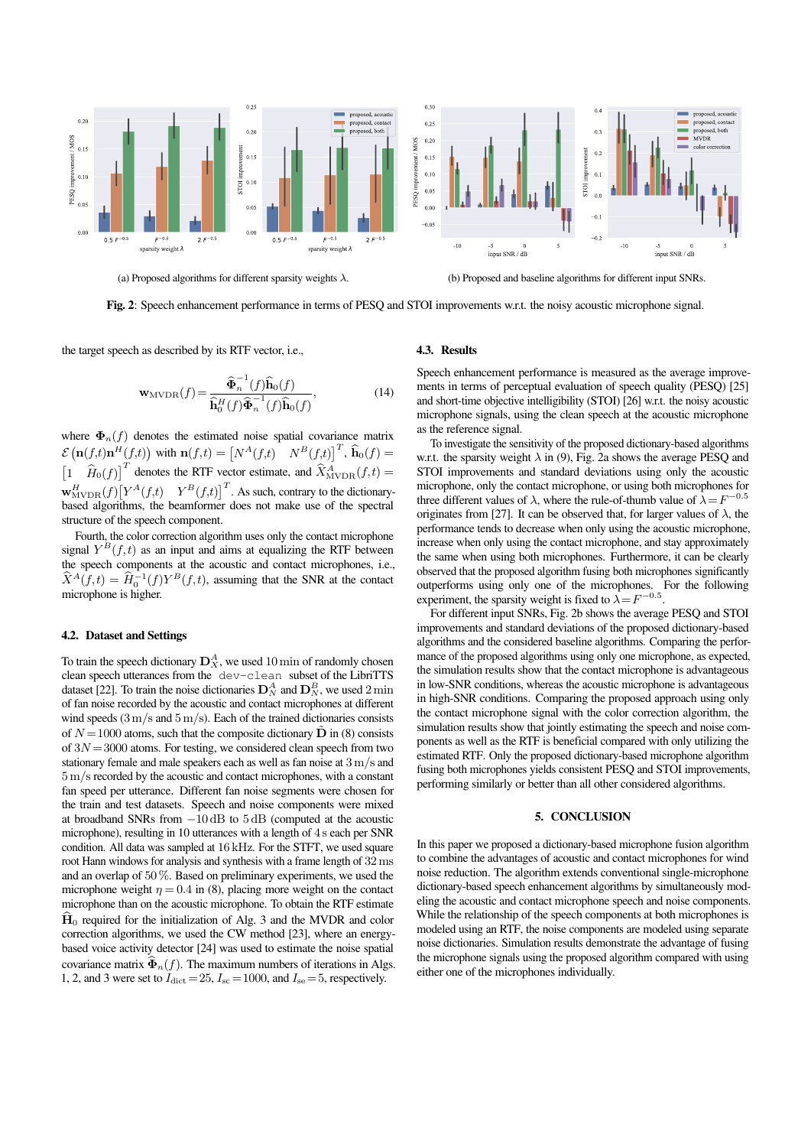<span id="page-3-2"></span>

(a) Proposed algorithms for different sparsity weights  $\lambda$ . (b) Proposed and baseline algorithms for different input SNRs.

Fig. 2: Speech enhancement performance in terms of PESQ and STOI improvements w.r.t. the noisy acoustic microphone signal.

the target speech as described by its RTF vector, i.e.,

$$
\mathbf{w}_{\text{MVDR}}(f) = \frac{\widehat{\mathbf{\Phi}}_n^{-1}(f)\widehat{\mathbf{h}}_0(f)}{\widehat{\mathbf{h}}_0^H(f)\widehat{\mathbf{\Phi}}_n^{-1}(f)\widehat{\mathbf{h}}_0(f)},\tag{14}
$$

where  $\Phi_n(f)$  denotes the estimated noise spatial covariance matrix  $\mathcal{E}\left(\mathbf{n}(f,t)\mathbf{n}^H(f,t)\right)$  with  $\mathbf{n}(f,t) = \begin{bmatrix} N^A(f,t) & N^B(f,t) \end{bmatrix}^T$ ,  $\widehat{\mathbf{h}}_0(f) =$  $\left[1 \quad \widehat{H}_0(f)\right]^T$  denotes the RTF vector estimate, and  $\widehat{X}^A_{\text{MVDR}}(f,t) =$  $\mathbf{w}_{\text{MVDR}}^H(f)[Y^A(f,t) \quad Y^B(f,t)]^T$ . As such, contrary to the dictionarybased algorithms, the beamformer does not make use of the spectral structure of the speech component.

Fourth, the color correction algorithm uses only the contact microphone signal  $Y^{\neq}$  $B(f, t)$  as an input and aims at equalizing the RTF between the speech components at the acoustic and contact microphones, i.e.,  $\widehat{X}^{A}(f,t) = \widehat{H}_{0}^{-1}(f)Y^{B}(f,t)$ , assuming that the SNR at the contact microphone is higher.

## <span id="page-3-0"></span>4.2. Dataset and Settings

To train the speech dictionary  $\mathbf{D}_X^A$ , we used  $10 \min$  of randomly chosen clean speech utterances from the dev-clean subset of the LibriTTS dataset [\[22\]](#page-4-21). To train the noise dictionaries  $\mathbf{D}_N^A$  and  $\mathbf{D}_N^B$ , we used 2 min of fan noise recorded by the acoustic and contact microphones at different wind speeds  $(3 \text{ m/s}$  and  $5 \text{ m/s})$ . Each of the trained dictionaries consists of  $N = 1000$  atoms, such that the composite dictionary  $\tilde{\mathbf{D}}$  in [\(8\)](#page-1-6) consists of  $3N = 3000$  atoms. For testing, we considered clean speech from two stationary female and male speakers each as well as fan noise at 3m/s and 5m/s recorded by the acoustic and contact microphones, with a constant fan speed per utterance. Different fan noise segments were chosen for the train and test datasets. Speech and noise components were mixed at broadband SNRs from −10 dB to 5 dB (computed at the acoustic microphone), resulting in 10 utterances with a length of 4 s each per SNR condition. All data was sampled at 16 kHz. For the STFT, we used square root Hann windows for analysis and synthesis with a frame length of 32ms and an overlap of 50%. Based on preliminary experiments, we used the microphone weight  $\eta = 0.4$  in [\(8\)](#page-1-6), placing more weight on the contact microphone than on the acoustic microphone. To obtain the RTF estimate  $\mathbf{H}_0$  required for the initialization of Alg. [3](#page-2-2) and the MVDR and color correction algorithms, we used the CW method [\[23\]](#page-4-22), where an energybased voice activity detector [\[24\]](#page-4-23) was used to estimate the noise spatial covariance matrix  $\widehat{\Phi}_n(f)$ . The maximum numbers of iterations in Algs. [1,](#page-2-0) [2,](#page-2-1) and [3](#page-2-2) were set to  $I_{\text{dict}}=25$ ,  $I_{\text{sc}}=1000$ , and  $I_{\text{se}}=5$ , respectively.

#### <span id="page-3-1"></span>4.3. Results

Speech enhancement performance is measured as the average improvements in terms of perceptual evaluation of speech quality (PESQ) [\[25\]](#page-4-24) and short-time objective intelligibility (STOI) [\[26\]](#page-4-25) w.r.t. the noisy acoustic microphone signals, using the clean speech at the acoustic microphone as the reference signal.

To investigate the sensitivity of the proposed dictionary-based algorithms w.r.t. the sparsity weight  $\lambda$  in [\(9\)](#page-1-5), Fig. [2a](#page-3-2) shows the average PESQ and STOI improvements and standard deviations using only the acoustic microphone, only the contact microphone, or using both microphones for three different values of  $\lambda$ , where the rule-of-thumb value of  $\lambda = F^{-0.5}$ originates from [\[27\]](#page-4-26). It can be observed that, for larger values of  $\lambda$ , the performance tends to decrease when only using the acoustic microphone, increase when only using the contact microphone, and stay approximately the same when using both microphones. Furthermore, it can be clearly observed that the proposed algorithm fusing both microphones significantly outperforms using only one of the microphones. For the following experiment, the sparsity weight is fixed to  $\lambda = F^{-0.5}$ .

For different input SNRs, Fig. [2b](#page-3-2) shows the average PESQ and STOI improvements and standard deviations of the proposed dictionary-based algorithms and the considered baseline algorithms. Comparing the performance of the proposed algorithms using only one microphone, as expected, the simulation results show that the contact microphone is advantageous in low-SNR conditions, whereas the acoustic microphone is advantageous in high-SNR conditions. Comparing the proposed approach using only the contact microphone signal with the color correction algorithm, the simulation results show that jointly estimating the speech and noise components as well as the RTF is beneficial compared with only utilizing the estimated RTF. Only the proposed dictionary-based microphone algorithm fusing both microphones yields consistent PESO and STOI improvements, performing similarly or better than all other considered algorithms.

#### 5. CONCLUSION

In this paper we proposed a dictionary-based microphone fusion algorithm to combine the advantages of acoustic and contact microphones for wind noise reduction. The algorithm extends conventional single-microphone dictionary-based speech enhancement algorithms by simultaneously modeling the acoustic and contact microphone speech and noise components. While the relationship of the speech components at both microphones is modeled using an RTF, the noise components are modeled using separate noise dictionaries. Simulation results demonstrate the advantage of fusing the microphone signals using the proposed algorithm compared with using either one of the microphones individually.